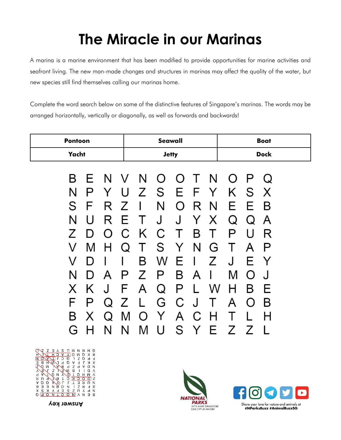# **The Miracle in our Marinas**

A marina is a marine environment that has been modified to provide opportunities for marine activities and seafront living. The new man-made changes and structures in marinas may affect the quality of the water, but new species still find themselves calling our marinas home.

Complete the word search below on some of the distinctive features of Singapore's marinas. The words may be arranged horizontally, vertically or diagonally, as well as forwards and backwards!

| <b>Pontoon</b>                                                                                                                                              | <b>Seawall</b>                                                                                                                                                                                                                                                                                     | <b>Boat</b>                                                                                                                                                                     |
|-------------------------------------------------------------------------------------------------------------------------------------------------------------|----------------------------------------------------------------------------------------------------------------------------------------------------------------------------------------------------------------------------------------------------------------------------------------------------|---------------------------------------------------------------------------------------------------------------------------------------------------------------------------------|
| Yacht                                                                                                                                                       | <b>Jetty</b>                                                                                                                                                                                                                                                                                       | <b>Dock</b>                                                                                                                                                                     |
| В<br>P<br>N<br>Y<br>S<br>F<br>R<br>R<br>N<br>U<br>7<br>$\left( \right)$<br>I)<br>M<br>H<br>V<br>V<br>I)<br>N<br>A<br>D<br>K<br>J<br>X<br>F<br>P<br>$\Omega$ | ENVNOOTN<br>Е<br>Ζ<br>S.<br>E<br>Y<br>U<br>N<br>R N<br>Ζ<br>O<br>J<br>J<br>Y<br>X<br>E<br>$\top$<br>K.<br>C<br>С<br>T.<br>B<br>Τ<br>S<br>T<br>N<br>G<br>Y<br>Q<br>В<br>W<br>J<br>Ζ<br>Е<br>B<br>Ζ<br>P<br>P<br>I<br>A<br>F<br>P<br>A<br>Q<br>W<br>C<br>G<br>J<br>$\mathsf{L}$<br>Z<br>$\mathbb{T}$ | O P<br>Q<br>K.<br>S<br>X<br>Е<br>B<br>E.<br>Q<br>A<br>Q<br>U<br>P<br>R<br>Т<br>P<br>A<br>J<br>E<br>Y<br>M<br>J<br>$\left( \right)$<br>н<br>В<br>⊢<br>B<br>А<br>$\left( \right)$ |
| B<br>X<br>Q                                                                                                                                                 | Y<br>A<br>C<br>M<br>H<br>$\left( \right)$<br>N<br>U<br>M<br>Y                                                                                                                                                                                                                                      |                                                                                                                                                                                 |
| N<br>5.                                                                                                                                                     | S<br>Н.                                                                                                                                                                                                                                                                                            | Ζ<br>Ζ                                                                                                                                                                          |







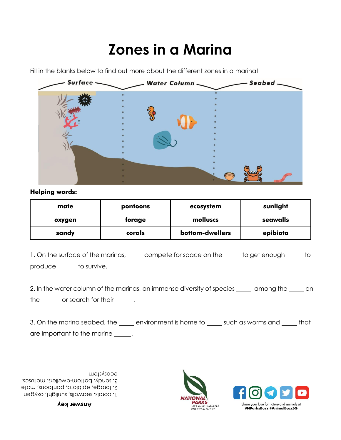## **Zones in a Marina**

Fill in the blanks below to find out more about the different zones in a marina!



#### **Helping words:**

| mate   | pontoons | ecosystem       | sunlight |
|--------|----------|-----------------|----------|
| oxygen | forage   | molluscs        | seawalls |
| sandy  | corals   | bottom-dwellers | epibiota |

1. On the surface of the marinas, elect compete for space on the sum to get enough sum to produce to survive.

2. In the water column of the marinas, an immense diversity of species \_\_\_\_ among the \_\_\_\_ on the  $\frac{1}{\sqrt{1-\frac{1}{\sqrt{1-\frac{1}{\sqrt{1-\frac{1}{\sqrt{1-\frac{1}{\sqrt{1-\frac{1}{\sqrt{1-\frac{1}{\sqrt{1-\frac{1}{\sqrt{1-\frac{1}{\sqrt{1-\frac{1}{\sqrt{1-\frac{1}{\sqrt{1-\frac{1}{\sqrt{1-\frac{1}{\sqrt{1-\frac{1}{\sqrt{1-\frac{1}{\sqrt{1-\frac{1}{\sqrt{1-\frac{1}{\sqrt{1-\frac{1}{\sqrt{1-\frac{1}{\sqrt{1-\frac{1}{\sqrt{1-\frac{1}{\sqrt{1-\frac{1}{\sqrt{1-\frac{1}{\sqrt{1-\frac{1}{\sqrt{1$ 

3. On the marina seabed, the sum environment is home to such as worms and sum that are important to the marine  $\qquad \qquad$ .

corals, seawalls, sunlight, oxygen 1. forage, epibiota, pontoons, mate 2. 3. sandy, bottom-dwellers, molluscs, ecosystem

#### **Answer key**



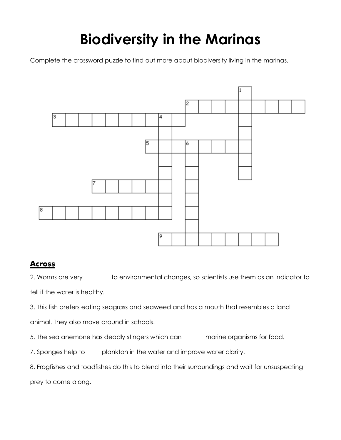# **Biodiversity in the Marinas**

Complete the crossword puzzle to find out more about biodiversity living in the marinas.



## **Across**

2. Worms are very \_\_\_\_\_\_\_ to environmental changes, so scientists use them as an indicator to tell if the water is healthy.

3. This fish prefers eating seagrass and seaweed and has a mouth that resembles a land

animal. They also move around in schools.

5. The sea anemone has deadly stingers which can \_\_\_\_\_\_ marine organisms for food.

7. Sponges help to \_\_\_\_ plankton in the water and improve water clarity.

8. Frogfishes and toadfishes do this to blend into their surroundings and wait for unsuspecting prey to come along.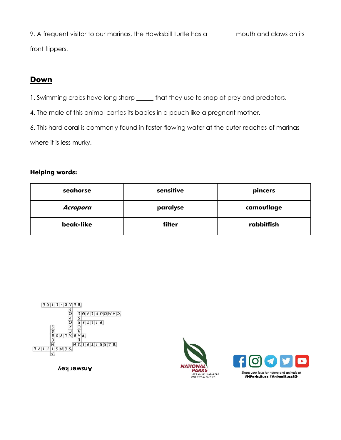9. A frequent visitor to our marinas, the Hawksbill Turtle has a \_\_\_\_\_\_ mouth and claws on its front flippers.

## **Down**

1. Swimming crabs have long sharp \_\_\_\_\_\_ that they use to snap at prey and predators.

4. The male of this animal carries its babies in a pouch like a pregnant mother.

6. This hard coral is commonly found in faster-flowing water at the outer reaches of marinas

where it is less murky.

## **Helping words:**

| seahorse  | sensitive | pincers    |
|-----------|-----------|------------|
| Acropora  | paralyse  | camouflage |
| beak-like | filter    | rabbitfish |



**Answer key**



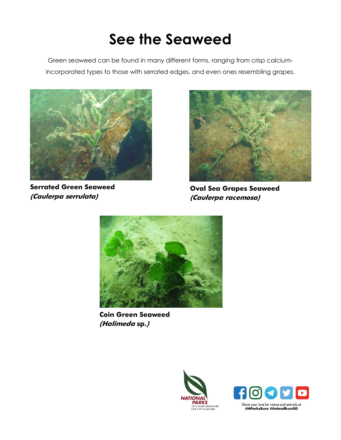# **See the Seaweed**

Green seaweed can be found in many different forms, ranging from crisp calciumincorporated types to those with serrated edges, and even ones resembling grapes.



**Serrated Green Seaweed (Caulerpa serrulata)**



**Oval Sea Grapes Seaweed (Caulerpa racemosa)**



**Coin Green Seaweed (Halimeda sp.)**



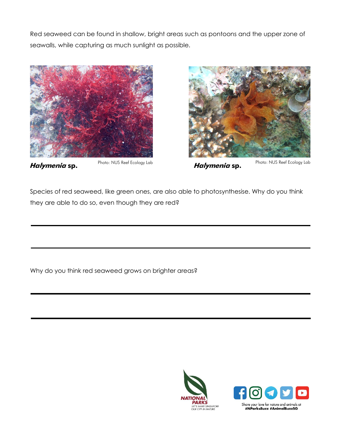Red seaweed can be found in shallow, bright areas such as pontoons and the upper zone of seawalls, while capturing as much sunlight as possible.





**Halymenia sp. Halymenia sp.**

Photo: NUS Reef Ecology Lab

Species of red seaweed, like green ones, are also able to photosynthesise. Why do you think they are able to do so, even though they are red?

Why do you think red seaweed grows on brighter areas?